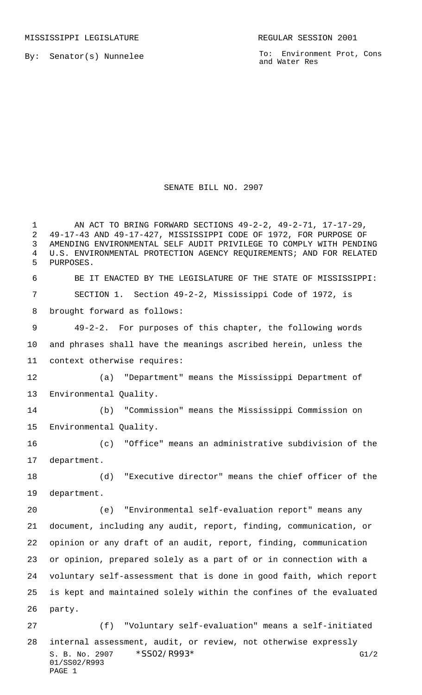MISSISSIPPI LEGISLATURE **REGULAR SESSION 2001** 

By: Senator(s) Nunnelee

To: Environment Prot, Cons and Water Res

## SENATE BILL NO. 2907

S. B. No. 2907 \* SSO2/R993\* G1/2 01/SS02/R993 PAGE 1 1 AN ACT TO BRING FORWARD SECTIONS 49-2-2, 49-2-71, 17-17-29, 49-17-43 AND 49-17-427, MISSISSIPPI CODE OF 1972, FOR PURPOSE OF AMENDING ENVIRONMENTAL SELF AUDIT PRIVILEGE TO COMPLY WITH PENDING U.S. ENVIRONMENTAL PROTECTION AGENCY REQUIREMENTS; AND FOR RELATED PURPOSES. BE IT ENACTED BY THE LEGISLATURE OF THE STATE OF MISSISSIPPI: SECTION 1. Section 49-2-2, Mississippi Code of 1972, is brought forward as follows: 49-2-2. For purposes of this chapter, the following words and phrases shall have the meanings ascribed herein, unless the context otherwise requires: (a) "Department" means the Mississippi Department of Environmental Quality. (b) "Commission" means the Mississippi Commission on Environmental Quality. (c) "Office" means an administrative subdivision of the department. (d) "Executive director" means the chief officer of the department. (e) "Environmental self-evaluation report" means any document, including any audit, report, finding, communication, or opinion or any draft of an audit, report, finding, communication or opinion, prepared solely as a part of or in connection with a voluntary self-assessment that is done in good faith, which report is kept and maintained solely within the confines of the evaluated party. (f) "Voluntary self-evaluation" means a self-initiated internal assessment, audit, or review, not otherwise expressly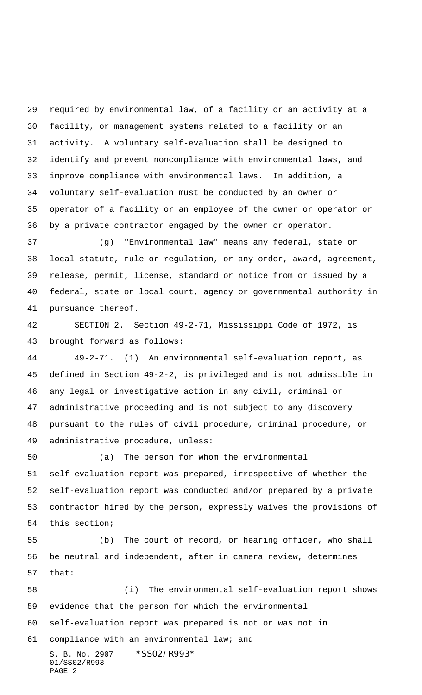required by environmental law, of a facility or an activity at a facility, or management systems related to a facility or an activity. A voluntary self-evaluation shall be designed to identify and prevent noncompliance with environmental laws, and improve compliance with environmental laws. In addition, a voluntary self-evaluation must be conducted by an owner or operator of a facility or an employee of the owner or operator or by a private contractor engaged by the owner or operator.

 (g) "Environmental law" means any federal, state or local statute, rule or regulation, or any order, award, agreement, release, permit, license, standard or notice from or issued by a federal, state or local court, agency or governmental authority in pursuance thereof.

 SECTION 2. Section 49-2-71, Mississippi Code of 1972, is brought forward as follows:

 49-2-71. (1) An environmental self-evaluation report, as defined in Section 49-2-2, is privileged and is not admissible in any legal or investigative action in any civil, criminal or administrative proceeding and is not subject to any discovery pursuant to the rules of civil procedure, criminal procedure, or administrative procedure, unless:

 (a) The person for whom the environmental self-evaluation report was prepared, irrespective of whether the self-evaluation report was conducted and/or prepared by a private contractor hired by the person, expressly waives the provisions of this section;

 (b) The court of record, or hearing officer, who shall be neutral and independent, after in camera review, determines that:

S. B. No. 2907 \* SS02/R993\* (i) The environmental self-evaluation report shows evidence that the person for which the environmental self-evaluation report was prepared is not or was not in compliance with an environmental law; and

```
01/SS02/R993
PAGE 2
```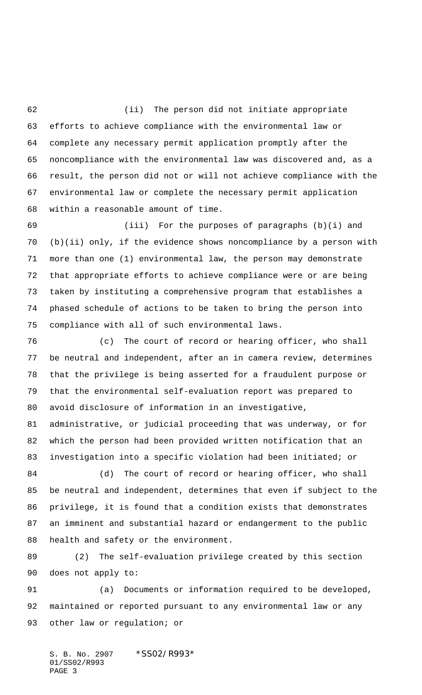(ii) The person did not initiate appropriate efforts to achieve compliance with the environmental law or complete any necessary permit application promptly after the noncompliance with the environmental law was discovered and, as a result, the person did not or will not achieve compliance with the environmental law or complete the necessary permit application within a reasonable amount of time.

 (iii) For the purposes of paragraphs (b)(i) and (b)(ii) only, if the evidence shows noncompliance by a person with more than one (1) environmental law, the person may demonstrate that appropriate efforts to achieve compliance were or are being taken by instituting a comprehensive program that establishes a phased schedule of actions to be taken to bring the person into compliance with all of such environmental laws.

 (c) The court of record or hearing officer, who shall be neutral and independent, after an in camera review, determines that the privilege is being asserted for a fraudulent purpose or that the environmental self-evaluation report was prepared to avoid disclosure of information in an investigative, administrative, or judicial proceeding that was underway, or for which the person had been provided written notification that an

investigation into a specific violation had been initiated; or

 (d) The court of record or hearing officer, who shall be neutral and independent, determines that even if subject to the privilege, it is found that a condition exists that demonstrates an imminent and substantial hazard or endangerment to the public health and safety or the environment.

 (2) The self-evaluation privilege created by this section does not apply to:

 (a) Documents or information required to be developed, maintained or reported pursuant to any environmental law or any 93 other law or regulation; or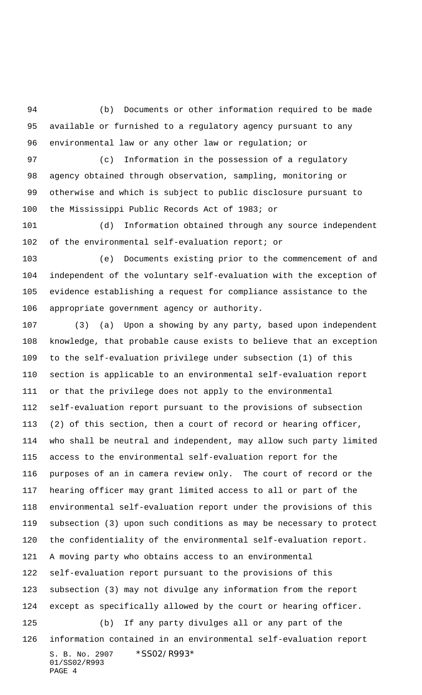(b) Documents or other information required to be made available or furnished to a regulatory agency pursuant to any environmental law or any other law or regulation; or

 (c) Information in the possession of a regulatory agency obtained through observation, sampling, monitoring or otherwise and which is subject to public disclosure pursuant to the Mississippi Public Records Act of 1983; or

 (d) Information obtained through any source independent of the environmental self-evaluation report; or

 (e) Documents existing prior to the commencement of and independent of the voluntary self-evaluation with the exception of evidence establishing a request for compliance assistance to the appropriate government agency or authority.

S. B. No. 2907 \*SS02/R993\* 01/SS02/R993 (3) (a) Upon a showing by any party, based upon independent knowledge, that probable cause exists to believe that an exception to the self-evaluation privilege under subsection (1) of this section is applicable to an environmental self-evaluation report or that the privilege does not apply to the environmental self-evaluation report pursuant to the provisions of subsection (2) of this section, then a court of record or hearing officer, who shall be neutral and independent, may allow such party limited access to the environmental self-evaluation report for the purposes of an in camera review only. The court of record or the hearing officer may grant limited access to all or part of the environmental self-evaluation report under the provisions of this subsection (3) upon such conditions as may be necessary to protect the confidentiality of the environmental self-evaluation report. A moving party who obtains access to an environmental self-evaluation report pursuant to the provisions of this subsection (3) may not divulge any information from the report except as specifically allowed by the court or hearing officer. (b) If any party divulges all or any part of the information contained in an environmental self-evaluation report

PAGE 4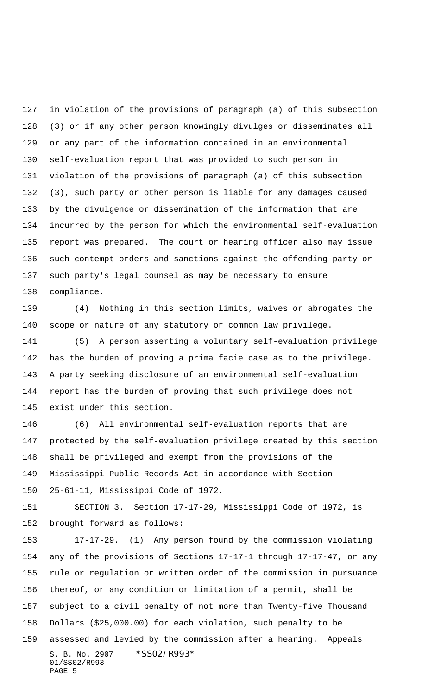in violation of the provisions of paragraph (a) of this subsection (3) or if any other person knowingly divulges or disseminates all or any part of the information contained in an environmental self-evaluation report that was provided to such person in violation of the provisions of paragraph (a) of this subsection (3), such party or other person is liable for any damages caused by the divulgence or dissemination of the information that are incurred by the person for which the environmental self-evaluation report was prepared. The court or hearing officer also may issue such contempt orders and sanctions against the offending party or such party's legal counsel as may be necessary to ensure compliance.

 (4) Nothing in this section limits, waives or abrogates the scope or nature of any statutory or common law privilege.

 (5) A person asserting a voluntary self-evaluation privilege has the burden of proving a prima facie case as to the privilege. A party seeking disclosure of an environmental self-evaluation report has the burden of proving that such privilege does not exist under this section.

 (6) All environmental self-evaluation reports that are protected by the self-evaluation privilege created by this section shall be privileged and exempt from the provisions of the Mississippi Public Records Act in accordance with Section 25-61-11, Mississippi Code of 1972.

 SECTION 3. Section 17-17-29, Mississippi Code of 1972, is brought forward as follows:

S. B. No. 2907 \*SS02/R993\* 01/SS02/R993 PAGE 5 17-17-29. (1) Any person found by the commission violating any of the provisions of Sections 17-17-1 through 17-17-47, or any rule or regulation or written order of the commission in pursuance thereof, or any condition or limitation of a permit, shall be subject to a civil penalty of not more than Twenty-five Thousand Dollars (\$25,000.00) for each violation, such penalty to be assessed and levied by the commission after a hearing. Appeals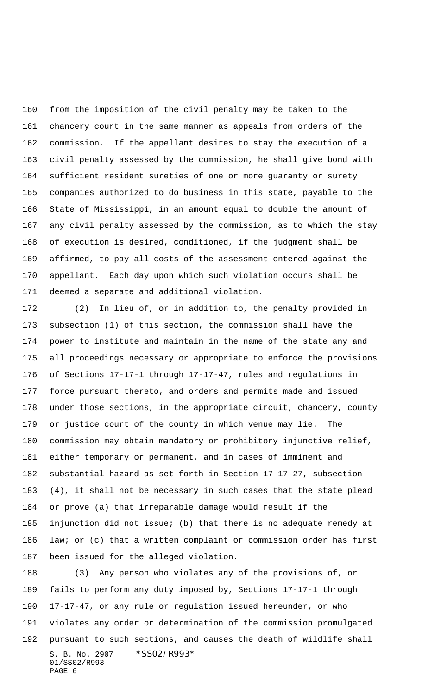from the imposition of the civil penalty may be taken to the chancery court in the same manner as appeals from orders of the commission. If the appellant desires to stay the execution of a civil penalty assessed by the commission, he shall give bond with sufficient resident sureties of one or more guaranty or surety companies authorized to do business in this state, payable to the State of Mississippi, in an amount equal to double the amount of any civil penalty assessed by the commission, as to which the stay of execution is desired, conditioned, if the judgment shall be affirmed, to pay all costs of the assessment entered against the appellant. Each day upon which such violation occurs shall be deemed a separate and additional violation.

 (2) In lieu of, or in addition to, the penalty provided in subsection (1) of this section, the commission shall have the power to institute and maintain in the name of the state any and all proceedings necessary or appropriate to enforce the provisions of Sections 17-17-1 through 17-17-47, rules and regulations in force pursuant thereto, and orders and permits made and issued under those sections, in the appropriate circuit, chancery, county or justice court of the county in which venue may lie. The commission may obtain mandatory or prohibitory injunctive relief, either temporary or permanent, and in cases of imminent and substantial hazard as set forth in Section 17-17-27, subsection (4), it shall not be necessary in such cases that the state plead or prove (a) that irreparable damage would result if the injunction did not issue; (b) that there is no adequate remedy at law; or (c) that a written complaint or commission order has first been issued for the alleged violation.

S. B. No. 2907 \* SS02/R993\* 01/SS02/R993 PAGE 6 (3) Any person who violates any of the provisions of, or fails to perform any duty imposed by, Sections 17-17-1 through 17-17-47, or any rule or regulation issued hereunder, or who violates any order or determination of the commission promulgated pursuant to such sections, and causes the death of wildlife shall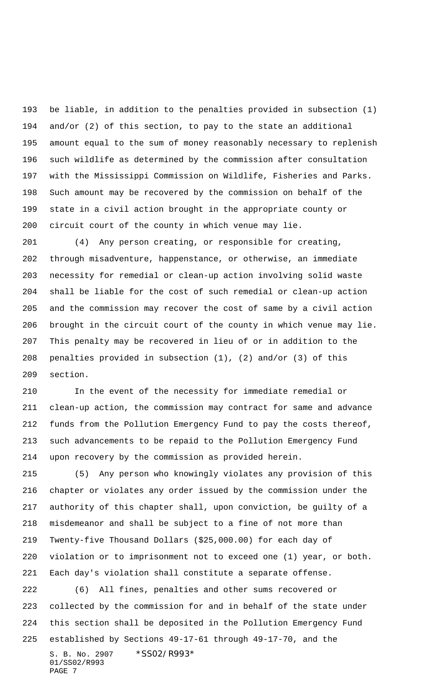be liable, in addition to the penalties provided in subsection (1) and/or (2) of this section, to pay to the state an additional amount equal to the sum of money reasonably necessary to replenish such wildlife as determined by the commission after consultation with the Mississippi Commission on Wildlife, Fisheries and Parks. Such amount may be recovered by the commission on behalf of the state in a civil action brought in the appropriate county or circuit court of the county in which venue may lie.

 (4) Any person creating, or responsible for creating, through misadventure, happenstance, or otherwise, an immediate necessity for remedial or clean-up action involving solid waste shall be liable for the cost of such remedial or clean-up action and the commission may recover the cost of same by a civil action brought in the circuit court of the county in which venue may lie. This penalty may be recovered in lieu of or in addition to the penalties provided in subsection (1), (2) and/or (3) of this section.

 In the event of the necessity for immediate remedial or clean-up action, the commission may contract for same and advance funds from the Pollution Emergency Fund to pay the costs thereof, such advancements to be repaid to the Pollution Emergency Fund upon recovery by the commission as provided herein.

 (5) Any person who knowingly violates any provision of this chapter or violates any order issued by the commission under the authority of this chapter shall, upon conviction, be guilty of a misdemeanor and shall be subject to a fine of not more than Twenty-five Thousand Dollars (\$25,000.00) for each day of violation or to imprisonment not to exceed one (1) year, or both. Each day's violation shall constitute a separate offense.

S. B. No. 2907 \* SS02/R993\* 01/SS02/R993 PAGE 7 (6) All fines, penalties and other sums recovered or collected by the commission for and in behalf of the state under this section shall be deposited in the Pollution Emergency Fund established by Sections 49-17-61 through 49-17-70, and the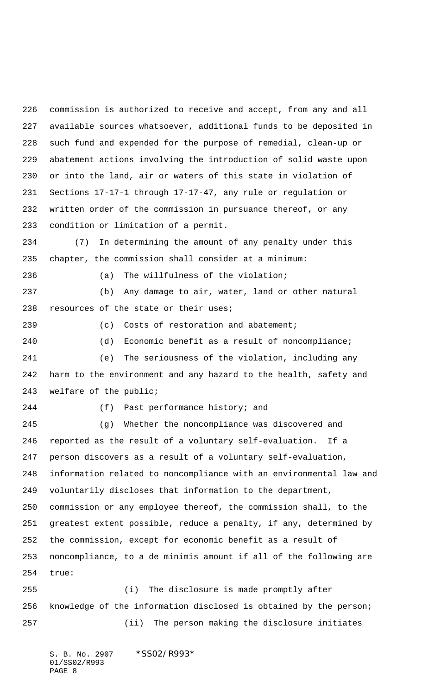commission is authorized to receive and accept, from any and all available sources whatsoever, additional funds to be deposited in such fund and expended for the purpose of remedial, clean-up or abatement actions involving the introduction of solid waste upon or into the land, air or waters of this state in violation of Sections 17-17-1 through 17-17-47, any rule or regulation or written order of the commission in pursuance thereof, or any condition or limitation of a permit.

 (7) In determining the amount of any penalty under this chapter, the commission shall consider at a minimum:

(a) The willfulness of the violation;

 (b) Any damage to air, water, land or other natural resources of the state or their uses;

239 (c) Costs of restoration and abatement;

 (d) Economic benefit as a result of noncompliance; (e) The seriousness of the violation, including any harm to the environment and any hazard to the health, safety and welfare of the public;

(f) Past performance history; and

 (g) Whether the noncompliance was discovered and reported as the result of a voluntary self-evaluation. If a person discovers as a result of a voluntary self-evaluation, information related to noncompliance with an environmental law and voluntarily discloses that information to the department, commission or any employee thereof, the commission shall, to the greatest extent possible, reduce a penalty, if any, determined by the commission, except for economic benefit as a result of noncompliance, to a de minimis amount if all of the following are true:

 (i) The disclosure is made promptly after knowledge of the information disclosed is obtained by the person; (ii) The person making the disclosure initiates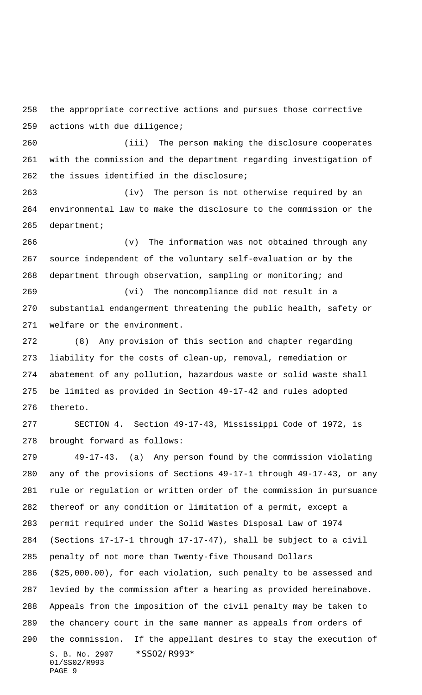the appropriate corrective actions and pursues those corrective actions with due diligence;

 (iii) The person making the disclosure cooperates with the commission and the department regarding investigation of the issues identified in the disclosure;

 (iv) The person is not otherwise required by an environmental law to make the disclosure to the commission or the department;

 (v) The information was not obtained through any source independent of the voluntary self-evaluation or by the department through observation, sampling or monitoring; and

 (vi) The noncompliance did not result in a substantial endangerment threatening the public health, safety or welfare or the environment.

 (8) Any provision of this section and chapter regarding liability for the costs of clean-up, removal, remediation or abatement of any pollution, hazardous waste or solid waste shall be limited as provided in Section 49-17-42 and rules adopted thereto.

 SECTION 4. Section 49-17-43, Mississippi Code of 1972, is brought forward as follows:

S. B. No. 2907 \* SS02/R993\* 01/SS02/R993 PAGE 9 49-17-43. (a) Any person found by the commission violating any of the provisions of Sections 49-17-1 through 49-17-43, or any rule or regulation or written order of the commission in pursuance thereof or any condition or limitation of a permit, except a permit required under the Solid Wastes Disposal Law of 1974 (Sections 17-17-1 through 17-17-47), shall be subject to a civil penalty of not more than Twenty-five Thousand Dollars (\$25,000.00), for each violation, such penalty to be assessed and levied by the commission after a hearing as provided hereinabove. Appeals from the imposition of the civil penalty may be taken to the chancery court in the same manner as appeals from orders of the commission. If the appellant desires to stay the execution of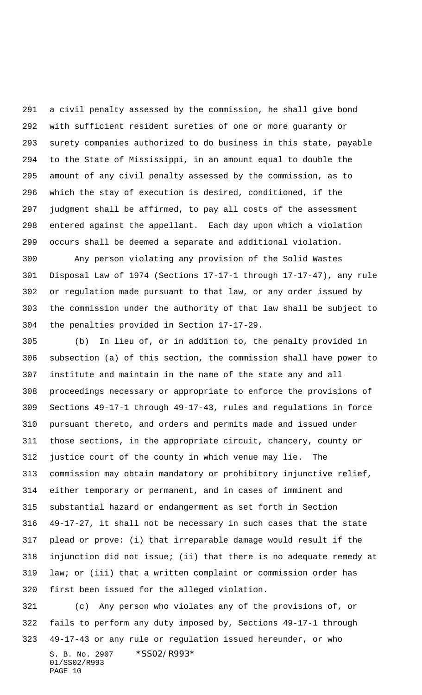a civil penalty assessed by the commission, he shall give bond with sufficient resident sureties of one or more guaranty or surety companies authorized to do business in this state, payable to the State of Mississippi, in an amount equal to double the amount of any civil penalty assessed by the commission, as to which the stay of execution is desired, conditioned, if the judgment shall be affirmed, to pay all costs of the assessment entered against the appellant. Each day upon which a violation occurs shall be deemed a separate and additional violation.

 Any person violating any provision of the Solid Wastes Disposal Law of 1974 (Sections 17-17-1 through 17-17-47), any rule or regulation made pursuant to that law, or any order issued by the commission under the authority of that law shall be subject to the penalties provided in Section 17-17-29.

 (b) In lieu of, or in addition to, the penalty provided in subsection (a) of this section, the commission shall have power to institute and maintain in the name of the state any and all proceedings necessary or appropriate to enforce the provisions of Sections 49-17-1 through 49-17-43, rules and regulations in force pursuant thereto, and orders and permits made and issued under those sections, in the appropriate circuit, chancery, county or justice court of the county in which venue may lie. The commission may obtain mandatory or prohibitory injunctive relief, either temporary or permanent, and in cases of imminent and substantial hazard or endangerment as set forth in Section 49-17-27, it shall not be necessary in such cases that the state plead or prove: (i) that irreparable damage would result if the injunction did not issue; (ii) that there is no adequate remedy at law; or (iii) that a written complaint or commission order has first been issued for the alleged violation.

S. B. No. 2907 \*SS02/R993\* 01/SS02/R993 PAGE 10 (c) Any person who violates any of the provisions of, or fails to perform any duty imposed by, Sections 49-17-1 through 49-17-43 or any rule or regulation issued hereunder, or who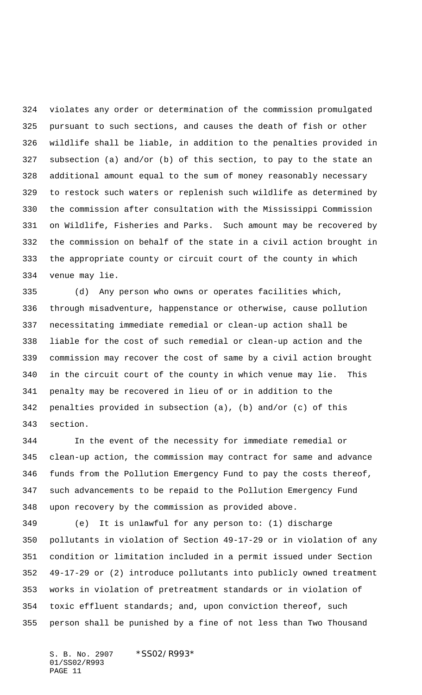violates any order or determination of the commission promulgated pursuant to such sections, and causes the death of fish or other wildlife shall be liable, in addition to the penalties provided in subsection (a) and/or (b) of this section, to pay to the state an additional amount equal to the sum of money reasonably necessary to restock such waters or replenish such wildlife as determined by the commission after consultation with the Mississippi Commission on Wildlife, Fisheries and Parks. Such amount may be recovered by the commission on behalf of the state in a civil action brought in the appropriate county or circuit court of the county in which venue may lie.

 (d) Any person who owns or operates facilities which, through misadventure, happenstance or otherwise, cause pollution necessitating immediate remedial or clean-up action shall be liable for the cost of such remedial or clean-up action and the commission may recover the cost of same by a civil action brought in the circuit court of the county in which venue may lie. This penalty may be recovered in lieu of or in addition to the penalties provided in subsection (a), (b) and/or (c) of this section.

 In the event of the necessity for immediate remedial or clean-up action, the commission may contract for same and advance funds from the Pollution Emergency Fund to pay the costs thereof, such advancements to be repaid to the Pollution Emergency Fund upon recovery by the commission as provided above.

 (e) It is unlawful for any person to: (1) discharge pollutants in violation of Section 49-17-29 or in violation of any condition or limitation included in a permit issued under Section 49-17-29 or (2) introduce pollutants into publicly owned treatment works in violation of pretreatment standards or in violation of toxic effluent standards; and, upon conviction thereof, such person shall be punished by a fine of not less than Two Thousand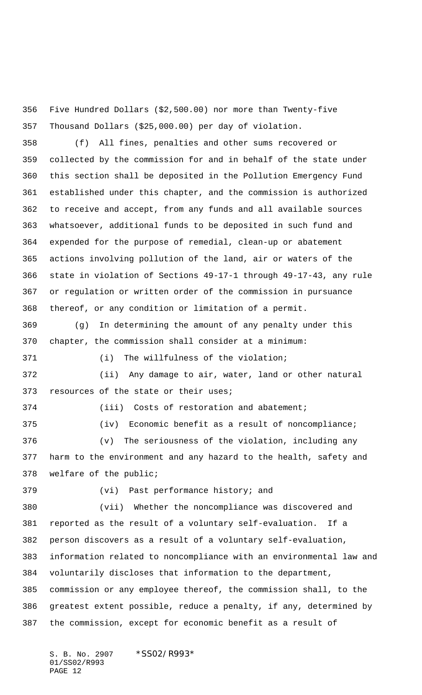Five Hundred Dollars (\$2,500.00) nor more than Twenty-five Thousand Dollars (\$25,000.00) per day of violation.

 (f) All fines, penalties and other sums recovered or collected by the commission for and in behalf of the state under this section shall be deposited in the Pollution Emergency Fund established under this chapter, and the commission is authorized to receive and accept, from any funds and all available sources whatsoever, additional funds to be deposited in such fund and expended for the purpose of remedial, clean-up or abatement actions involving pollution of the land, air or waters of the state in violation of Sections 49-17-1 through 49-17-43, any rule or regulation or written order of the commission in pursuance thereof, or any condition or limitation of a permit.

 (g) In determining the amount of any penalty under this chapter, the commission shall consider at a minimum:

(i) The willfulness of the violation;

 (ii) Any damage to air, water, land or other natural resources of the state or their uses;

(iv) Economic benefit as a result of noncompliance;

(iii) Costs of restoration and abatement;

 (v) The seriousness of the violation, including any harm to the environment and any hazard to the health, safety and welfare of the public;

(vi) Past performance history; and

 (vii) Whether the noncompliance was discovered and reported as the result of a voluntary self-evaluation. If a person discovers as a result of a voluntary self-evaluation, information related to noncompliance with an environmental law and voluntarily discloses that information to the department, commission or any employee thereof, the commission shall, to the greatest extent possible, reduce a penalty, if any, determined by the commission, except for economic benefit as a result of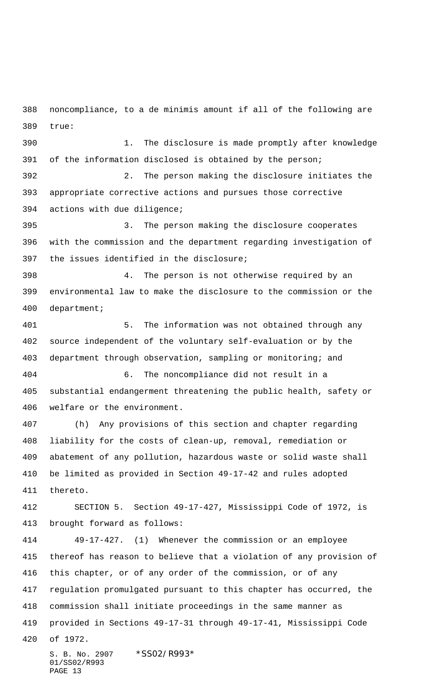noncompliance, to a de minimis amount if all of the following are true:

 1. The disclosure is made promptly after knowledge of the information disclosed is obtained by the person;

 2. The person making the disclosure initiates the appropriate corrective actions and pursues those corrective actions with due diligence;

 3. The person making the disclosure cooperates with the commission and the department regarding investigation of the issues identified in the disclosure;

 4. The person is not otherwise required by an environmental law to make the disclosure to the commission or the department;

 5. The information was not obtained through any source independent of the voluntary self-evaluation or by the department through observation, sampling or monitoring; and 6. The noncompliance did not result in a

 substantial endangerment threatening the public health, safety or welfare or the environment.

 (h) Any provisions of this section and chapter regarding liability for the costs of clean-up, removal, remediation or abatement of any pollution, hazardous waste or solid waste shall be limited as provided in Section 49-17-42 and rules adopted thereto.

 SECTION 5. Section 49-17-427, Mississippi Code of 1972, is brought forward as follows:

 49-17-427. (1) Whenever the commission or an employee thereof has reason to believe that a violation of any provision of this chapter, or of any order of the commission, or of any regulation promulgated pursuant to this chapter has occurred, the commission shall initiate proceedings in the same manner as provided in Sections 49-17-31 through 49-17-41, Mississippi Code of 1972.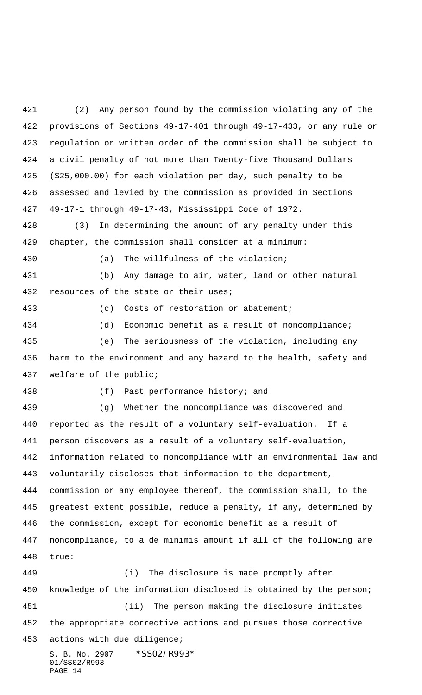(2) Any person found by the commission violating any of the provisions of Sections 49-17-401 through 49-17-433, or any rule or regulation or written order of the commission shall be subject to a civil penalty of not more than Twenty-five Thousand Dollars (\$25,000.00) for each violation per day, such penalty to be assessed and levied by the commission as provided in Sections 49-17-1 through 49-17-43, Mississippi Code of 1972.

 (3) In determining the amount of any penalty under this chapter, the commission shall consider at a minimum:

(a) The willfulness of the violation;

 (b) Any damage to air, water, land or other natural 432 resources of the state or their uses;

(c) Costs of restoration or abatement;

 (d) Economic benefit as a result of noncompliance; (e) The seriousness of the violation, including any harm to the environment and any hazard to the health, safety and

welfare of the public;

PAGE 14

(f) Past performance history; and

 (g) Whether the noncompliance was discovered and reported as the result of a voluntary self-evaluation. If a person discovers as a result of a voluntary self-evaluation, information related to noncompliance with an environmental law and voluntarily discloses that information to the department, commission or any employee thereof, the commission shall, to the greatest extent possible, reduce a penalty, if any, determined by the commission, except for economic benefit as a result of noncompliance, to a de minimis amount if all of the following are true:

S. B. No. 2907 \* SS02/R993\* 01/SS02/R993 (i) The disclosure is made promptly after knowledge of the information disclosed is obtained by the person; (ii) The person making the disclosure initiates the appropriate corrective actions and pursues those corrective actions with due diligence;